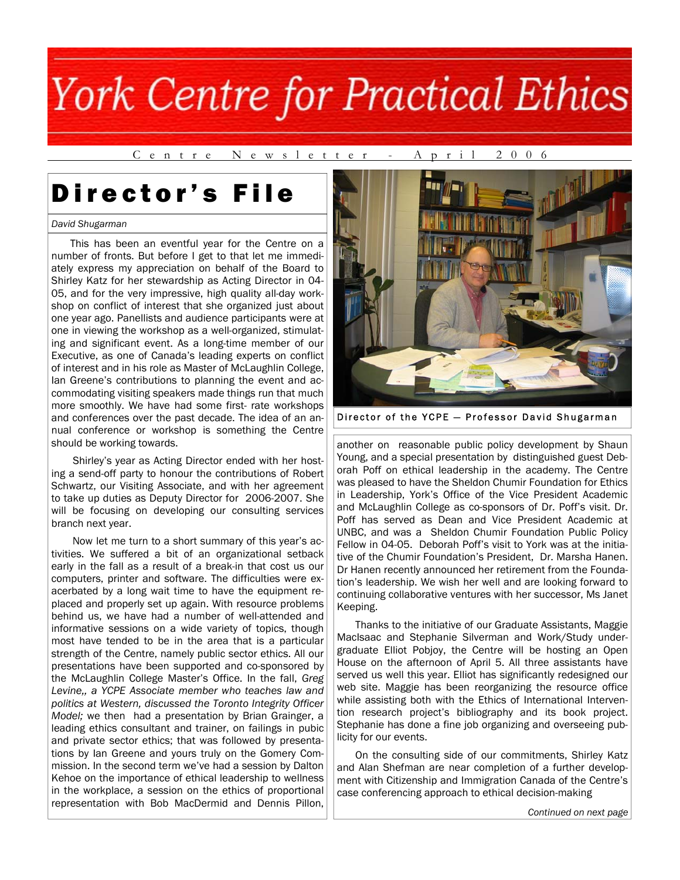C e n t r e N e w s l e t t e r - A p r i l 2 0 0 6

## Director's File

### *David Shugarman*

 This has been an eventful year for the Centre on a number of fronts. But before I get to that let me immediately express my appreciation on behalf of the Board to Shirley Katz for her stewardship as Acting Director in 04- 05, and for the very impressive, high quality all-day workshop on conflict of interest that she organized just about one year ago. Panellists and audience participants were at one in viewing the workshop as a well-organized, stimulating and significant event. As a long-time member of our Executive, as one of Canada's leading experts on conflict of interest and in his role as Master of McLaughlin College, Ian Greene's contributions to planning the event and accommodating visiting speakers made things run that much more smoothly. We have had some first- rate workshops and conferences over the past decade. The idea of an annual conference or workshop is something the Centre should be working towards.

 Shirley's year as Acting Director ended with her hosting a send-off party to honour the contributions of Robert Schwartz, our Visiting Associate, and with her agreement to take up duties as Deputy Director for 2006-2007. She will be focusing on developing our consulting services branch next year.

 Now let me turn to a short summary of this year's activities. We suffered a bit of an organizational setback early in the fall as a result of a break-in that cost us our computers, printer and software. The difficulties were exacerbated by a long wait time to have the equipment replaced and properly set up again. With resource problems behind us, we have had a number of well-attended and informative sessions on a wide variety of topics, though most have tended to be in the area that is a particular strength of the Centre, namely public sector ethics. All our presentations have been supported and co-sponsored by the McLaughlin College Master's Office. In the fall, *Greg Levine,, a YCPE Associate member who teaches law and politics at Western, discussed the Toronto Integrity Officer Model;* we then had a presentation by Brian Grainger, a leading ethics consultant and trainer, on failings in pubic and private sector ethics; that was followed by presentations by Ian Greene and yours truly on the Gomery Commission. In the second term we've had a session by Dalton Kehoe on the importance of ethical leadership to wellness in the workplace, a session on the ethics of proportional representation with Bob MacDermid and Dennis Pillon,



Director of the YCPE — Professor David Shugarman

another on reasonable public policy development by Shaun Young, and a special presentation by distinguished guest Deborah Poff on ethical leadership in the academy. The Centre was pleased to have the Sheldon Chumir Foundation for Ethics in Leadership, York's Office of the Vice President Academic and McLaughlin College as co-sponsors of Dr. Poff's visit. Dr. Poff has served as Dean and Vice President Academic at UNBC, and was a Sheldon Chumir Foundation Public Policy Fellow in 04-05. Deborah Poff's visit to York was at the initiative of the Chumir Foundation's President, Dr. Marsha Hanen. Dr Hanen recently announced her retirement from the Foundation's leadership. We wish her well and are looking forward to continuing collaborative ventures with her successor, Ms Janet Keeping.

 Thanks to the initiative of our Graduate Assistants, Maggie MacIsaac and Stephanie Silverman and Work/Study undergraduate Elliot Pobjoy, the Centre will be hosting an Open House on the afternoon of April 5. All three assistants have served us well this year. Elliot has significantly redesigned our web site. Maggie has been reorganizing the resource office while assisting both with the Ethics of International Intervention research project's bibliography and its book project. Stephanie has done a fine job organizing and overseeing publicity for our events.

 On the consulting side of our commitments, Shirley Katz and Alan Shefman are near completion of a further development with Citizenship and Immigration Canada of the Centre's case conferencing approach to ethical decision-making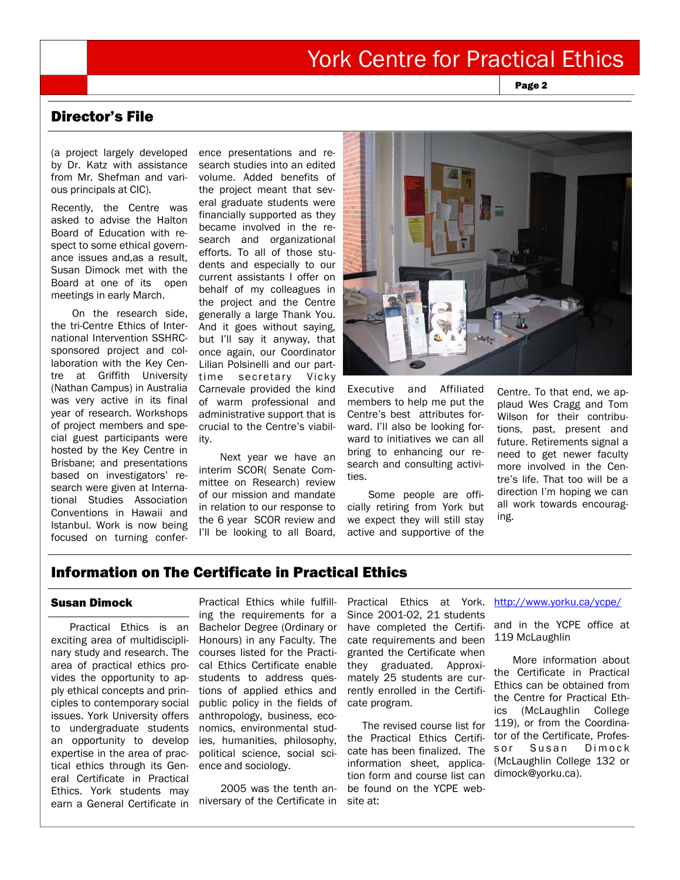Page 2

## Director's File

(a project largely developed by Dr. Katz with assistance from Mr. Shefman and various principals at CIC).

Recently, the Centre was asked to advise the Halton Board of Education with respect to some ethical governance issues and,as a result, Susan Dimock met with the Board at one of its open meetings in early March.

 On the research side, the tri-Centre Ethics of International Intervention SSHRCsponsored project and collaboration with the Key Centre at Griffith University (Nathan Campus) in Australia was very active in its final year of research. Workshops of project members and special guest participants were hosted by the Key Centre in Brisbane; and presentations based on investigators' research were given at International Studies Association Conventions in Hawaii and Istanbul. Work is now being focused on turning conference presentations and research studies into an edited volume. Added benefits of the project meant that several graduate students were financially supported as they became involved in the research and organizational efforts. To all of those students and especially to our current assistants I offer on behalf of my colleagues in the project and the Centre generally a large Thank You. And it goes without saying, but I'll say it anyway, that once again, our Coordinator Lilian Polsinelli and our parttime secretary Vicky Carnevale provided the kind of warm professional and administrative support that is crucial to the Centre's viability.

 Next year we have an interim SCOR( Senate Committee on Research) review of our mission and mandate in relation to our response to the 6 year SCOR review and I'll be looking to all Board,



Executive and Affiliated members to help me put the Centre's best attributes forward. I'll also be looking forward to initiatives we can all bring to enhancing our research and consulting activities.

 Some people are officially retiring from York but we expect they will still stay active and supportive of the

Centre. To that end, we applaud Wes Cragg and Tom Wilson for their contributions, past, present and future. Retirements signal a need to get newer faculty more involved in the Centre's life. That too will be a direction I'm hoping we can all work towards encouraging.

## Information on The Certificate in Practical Ethics

### Susan Dimock

 Practical Ethics is an exciting area of multidisciplinary study and research. The area of practical ethics provides the opportunity to apply ethical concepts and principles to contemporary social issues. York University offers to undergraduate students an opportunity to develop expertise in the area of practical ethics through its General Certificate in Practical Ethics. York students may earn a General Certificate in

Practical Ethics while fulfilling the requirements for a Bachelor Degree (Ordinary or Honours) in any Faculty. The courses listed for the Practical Ethics Certificate enable students to address questions of applied ethics and public policy in the fields of anthropology, business, economics, environmental studies, humanities, philosophy, political science, social science and sociology.

 2005 was the tenth anniversary of the Certificate in

Practical Ethics at York. http://www.yorku.ca/ycpe/ Since 2001-02, 21 students have completed the Certificate requirements and been granted the Certificate when they graduated. Approximately 25 students are currently enrolled in the Certificate program.

 The revised course list for the Practical Ethics Certificate has been finalized. The information sheet, application form and course list can be found on the YCPE website at:

and in the YCPE office at 119 McLaughlin

 More information about the Certificate in Practical Ethics can be obtained from the Centre for Practical Ethics (McLaughlin College 119), or from the Coordinator of the Certificate, Professor Susan Dimock (McLaughlin College 132 or dimock@yorku.ca).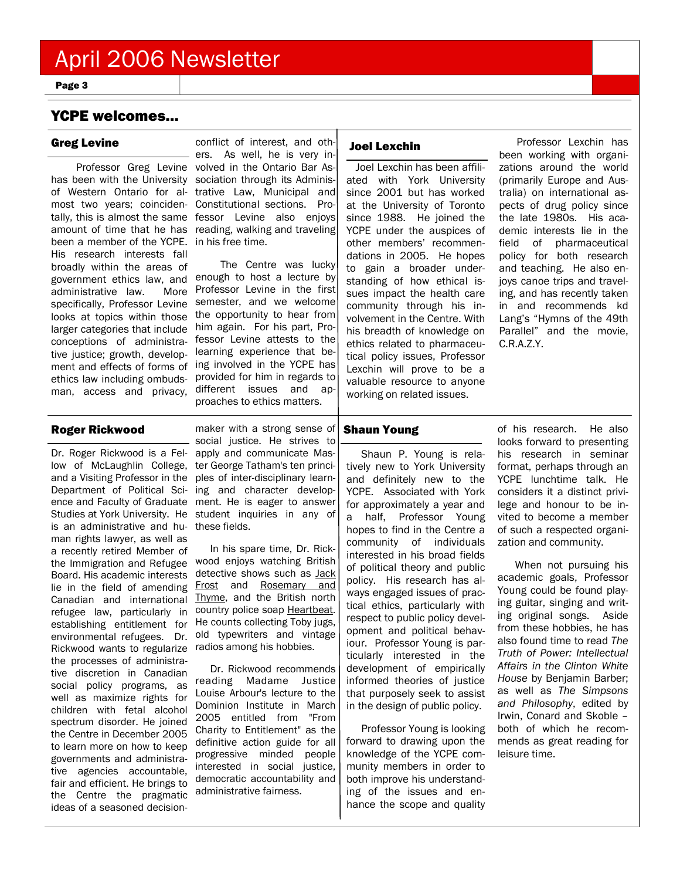Page 3

## YCPE welcomes…

 Professor Greg Levine volved in the Ontario Bar Ashas been with the University sociation through its Adminisof Western Ontario for al- trative Law, Municipal and most two years; coinciden-Constitutional sections. Protally, this is almost the same fessor Levine also enjoys amount of time that he has reading, walking and traveling been a member of the YCPE. in his free time. His research interests fall broadly within the areas of government ethics law, and administrative law. More specifically, Professor Levine looks at topics within those larger categories that include conceptions of administrative justice; growth, developethics law including ombudsman, access and privacy,

Greg Levine **Conflict of interest, and oth-** Joel Lexchin ers. As well, he is very in-

ment and effects of forms of ing involved in the YCPE has The Centre was lucky enough to host a lecture by Professor Levine in the first semester, and we welcome the opportunity to hear from him again. For his part, Professor Levine attests to the learning experience that beprovided for him in regards to different issues and approaches to ethics matters.

Joel Lexchin has been affiliated with York University since 2001 but has worked at the University of Toronto since 1988. He joined the YCPE under the auspices of other members' recommendations in 2005. He hopes to gain a broader understanding of how ethical issues impact the health care community through his involvement in the Centre. With his breadth of knowledge on ethics related to pharmaceutical policy issues, Professor Lexchin will prove to be a valuable resource to anyone working on related issues.

 Professor Lexchin has been working with organizations around the world (primarily Europe and Australia) on international aspects of drug policy since the late 1980s. His academic interests lie in the field of pharmaceutical policy for both research and teaching. He also enjoys canoe trips and traveling, and has recently taken in and recommends kd Lang's "Hymns of the 49th Parallel" and the movie, C.R.A.Z.Y.

### Roger Rickwood

is an administrative and hu-these fields. man rights lawyer, as well as a recently retired Member of the Immigration and Refugee Board. His academic interests lie in the field of amending Canadian and international refugee law, particularly in establishing entitlement for Rickwood wants to regularize radios among his hobbies. the processes of administrative discretion in Canadian social policy programs, as well as maximize rights for children with fetal alcohol spectrum disorder. He joined the Centre in December 2005 to learn more on how to keep governments and administrative agencies accountable, fair and efficient. He brings to the Centre the pragmatic ideas of a seasoned decision-

Dr. Roger Rickwood is a Fel-apply and communicate Maslow of McLaughlin College, ter George Tatham's ten princiand a Visiting Professor in the ples of inter-disciplinary learn-Department of Political Sci-ing and character developence and Faculty of Graduate ment. He is eager to answer Studies at York University. He student inquiries in any of maker with a strong sense of social justice. He strives to

environmental refugees. Dr. old typewriters and vintage In his spare time, Dr. Rickwood enjoys watching British detective shows such as **Jack** Frost and Rosemary and Thyme, and the British north country police soap Heartbeat. He counts collecting Toby jugs,

> Dr. Rickwood recommends reading Madame Justice Louise Arbour's lecture to the Dominion Institute in March 2005 entitled from "From Charity to Entitlement" as the definitive action guide for all progressive minded people interested in social justice, democratic accountability and administrative fairness.

## Shaun Young

Shaun P. Young is relatively new to York University and definitely new to the YCPE. Associated with York for approximately a year and a half, Professor Young hopes to find in the Centre a community of individuals interested in his broad fields of political theory and public policy. His research has always engaged issues of practical ethics, particularly with respect to public policy development and political behaviour. Professor Young is particularly interested in the development of empirically informed theories of justice that purposely seek to assist in the design of public policy.

Professor Young is looking forward to drawing upon the knowledge of the YCPE community members in order to both improve his understanding of the issues and enhance the scope and quality

of his research. He also looks forward to presenting his research in seminar format, perhaps through an YCPE lunchtime talk. He considers it a distinct privilege and honour to be invited to become a member of such a respected organization and community.

 When not pursuing his academic goals, Professor Young could be found playing guitar, singing and writing original songs. Aside from these hobbies, he has also found time to read *The Truth of Power: Intellectual Affairs in the Clinton White House* by Benjamin Barber; as well as *The Simpsons and Philosophy*, edited by Irwin, Conard and Skoble – both of which he recommends as great reading for leisure time.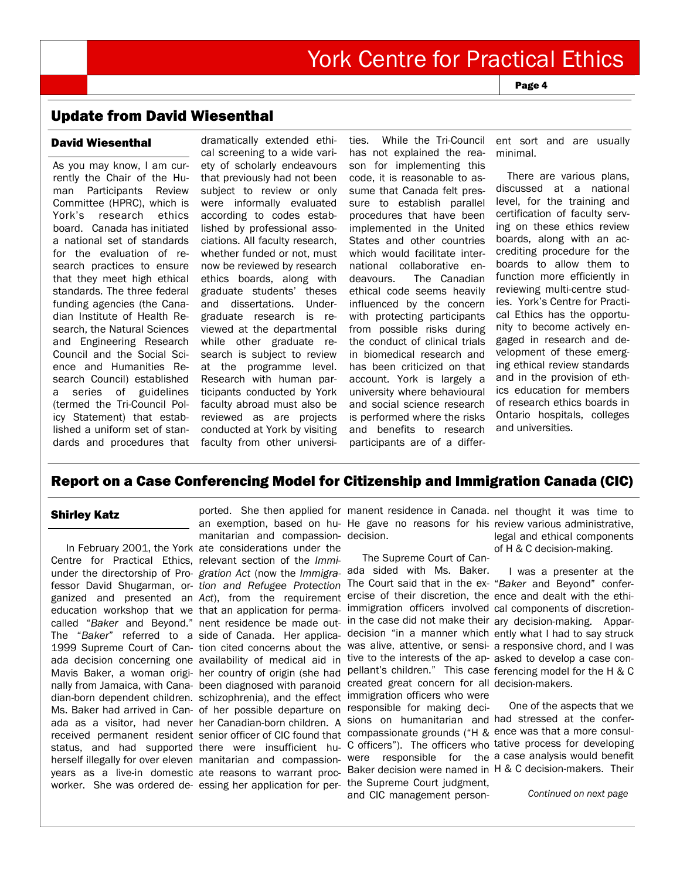Page 4

## Update from David Wiesenthal

## David Wiesenthal

As you may know, I am currently the Chair of the Human Participants Review Committee (HPRC), which is York's research ethics board. Canada has initiated a national set of standards for the evaluation of research practices to ensure that they meet high ethical standards. The three federal funding agencies (the Canadian Institute of Health Research, the Natural Sciences and Engineering Research Council and the Social Science and Humanities Research Council) established a series of guidelines (termed the Tri-Council Policy Statement) that established a uniform set of standards and procedures that dramatically extended ethical screening to a wide variety of scholarly endeavours that previously had not been subject to review or only were informally evaluated according to codes established by professional associations. All faculty research, whether funded or not, must now be reviewed by research ethics boards, along with graduate students' theses and dissertations. Undergraduate research is reviewed at the departmental while other graduate research is subject to review at the programme level. Research with human participants conducted by York faculty abroad must also be reviewed as are projects conducted at York by visiting faculty from other universities. While the Tri-Council has not explained the reason for implementing this code, it is reasonable to assume that Canada felt pressure to establish parallel procedures that have been implemented in the United States and other countries which would facilitate international collaborative endeavours. The Canadian ethical code seems heavily influenced by the concern with protecting participants from possible risks during the conduct of clinical trials in biomedical research and has been criticized on that account. York is largely a university where behavioural and social science research is performed where the risks and benefits to research participants are of a differ-

ent sort and are usually minimal.

 There are various plans, discussed at a national level, for the training and certification of faculty serving on these ethics review boards, along with an accrediting procedure for the boards to allow them to function more efficiently in reviewing multi-centre studies. York's Centre for Practical Ethics has the opportunity to become actively engaged in research and development of these emerging ethical review standards and in the provision of ethics education for members of research ethics boards in Ontario hospitals, colleges and universities.

## Report on a Case Conferencing Model for Citizenship and Immigration Canada (CIC)

### Shirley Katz

In February 2001, the York ate considerations under the Centre for Practical Ethics, relevant section of the *Immi*under the directorship of Pro-*gration Act* (now the *Immigra-*ada sided with Ms. Baker. fessor David Shugarman, or-*tion and Refugee Protection*  The Court said that in the ex-"*Baker* and Beyond" conferganized and presented an Act), from the requirement ercise of their discretion, the ence and dealt with the ethieducation workshop that we that an application for permacalled "Baker and Beyond." nent residence be made out- in the case did not make their ary decision-making. Appar-The "*Baker*" referred to a side of Canada. Her applica-1999 Supreme Court of Can-tion cited concerns about the ada decision concerning one availability of medical aid in Mavis Baker, a woman origi- her country of origin (she had pellant's children." This case ferencing model for the H & C nally from Jamaica, with Cana-been diagnosed with paranoid created great concern for all decision-makers. dian-born dependent children. schizophrenia), and the effect Ms. Baker had arrived in Can-of her possible departure on ada as a visitor, had never her Canadian-born children. A sions on humanitarian and had stressed at the conferreceived permanent resident senior officer of CIC found that compassionate grounds ("H & ence was that a more consulstatus, and had supported there were insufficient hu-C officers"). The officers who tative process for developing herself illegally for over eleven manitarian and compassion-were responsible for the a case analysis would benefit years as a live-in domestic ate reasons to warrant procworker. She was ordered de-essing her application for per-the Supreme Court judgment, manitarian and compassion-decision.

ported. She then applied for manent residence in Canada. nel thought it was time to an exemption, based on hu-He gave no reasons for his review various administrative,

> The Supreme Court of Canimmigration officers involved cal components of discretiontive to the interests of the ap-asked to develop a case conimmigration officers who were responsible for making deciand CIC management person-

legal and ethical components of H & C decision-making.

decision "in a manner which ently what I had to say struck was alive, attentive, or sensi-a responsive chord, and I was I was a presenter at the

Baker decision were named in H & C decision-makers. Their One of the aspects that we

*Continued on next page*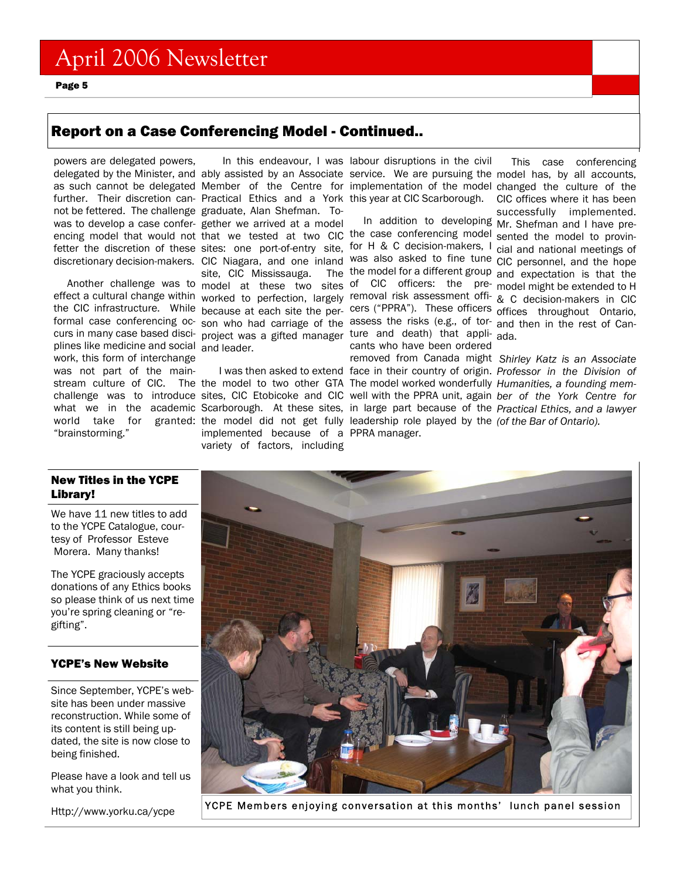Page 5

## Report on a Case Conferencing Model - Continued..

powers are delegated powers, delegated by the Minister, and ably assisted by an Associate service. We are pursuing the model has, by all accounts, as such cannot be delegated Member of the Centre for implementation of the model changed the culture of the further. Their discretion can- Practical Ethics and a York this year at CIC Scarborough. not be fettered. The challenge graduate, Alan Shefman. Towas to develop a case confer-gether we arrived at a model encing model that would not that we tested at two CIC the case conferencing model sented the model to provinfetter the discretion of these sites: one port-of-entry site, for H & C decision-makers, I cial and national meetings of discretionary decision-makers. CIC Niagara, and one inland was also asked to fine tune CIC personnel, and the hope

effect a cultural change within worked to perfection, largely removal risk assessment offi- & C decision-makers in CIC the CIC infrastructure. While because at each site the per- cers ("PPRA"). These officers offices throughout Ontario, formal case conferencing oc- son who had carriage of the assess the risks (e.g., of tor- and then in the rest of Cancurs in many case based disci- project was a gifted manager ture and death) that appli- ada. plines like medicine and social and leader. work, this form of interchange was not part of the mainworld take for granted: the model did not get fully leadership role played by the (of the Bar of Ontario). "brainstorming."

Another challenge was to model at these two sites of CIC officers: the pre- model might be extended to H site, CIC Mississauga.

> implemented because of a PPRA manager. variety of factors, including

In this endeavour, I was labour disruptions in the civil

In addition to developing Mr. Shefman and I have precants who have been ordered

This case conferencing CIC offices where it has been successfully implemented.

the model for a different group and expectation is that the

stream culture of CIC. The the model to two other GTA The model worked wonderfully Humanities, a founding memchallenge was to introduce sites, CIC Etobicoke and CIC well with the PPRA unit, again ber of the York Centre for what we in the academic Scarborough. At these sites, in large part because of the *Practical Ethics, and a lawyer*  I was then asked to extend face in their country of origin. *Professor in the Division of*  removed from Canada might  *Shirley Katz is an Associate* 

## New Titles in the YCPE Library!

We have 11 new titles to add to the YCPE Catalogue, courtesy of Professor Esteve Morera. Many thanks!

The YCPE graciously accepts donations of any Ethics books so please think of us next time you're spring cleaning or "regifting".

## YCPE's New Website

Since September, YCPE's website has been under massive reconstruction. While some of its content is still being updated, the site is now close to being finished.

Please have a look and tell us what you think.



Http://www.yorku.ca/ycpe YCPE Members enjoying conversation at this months' lunch panel session